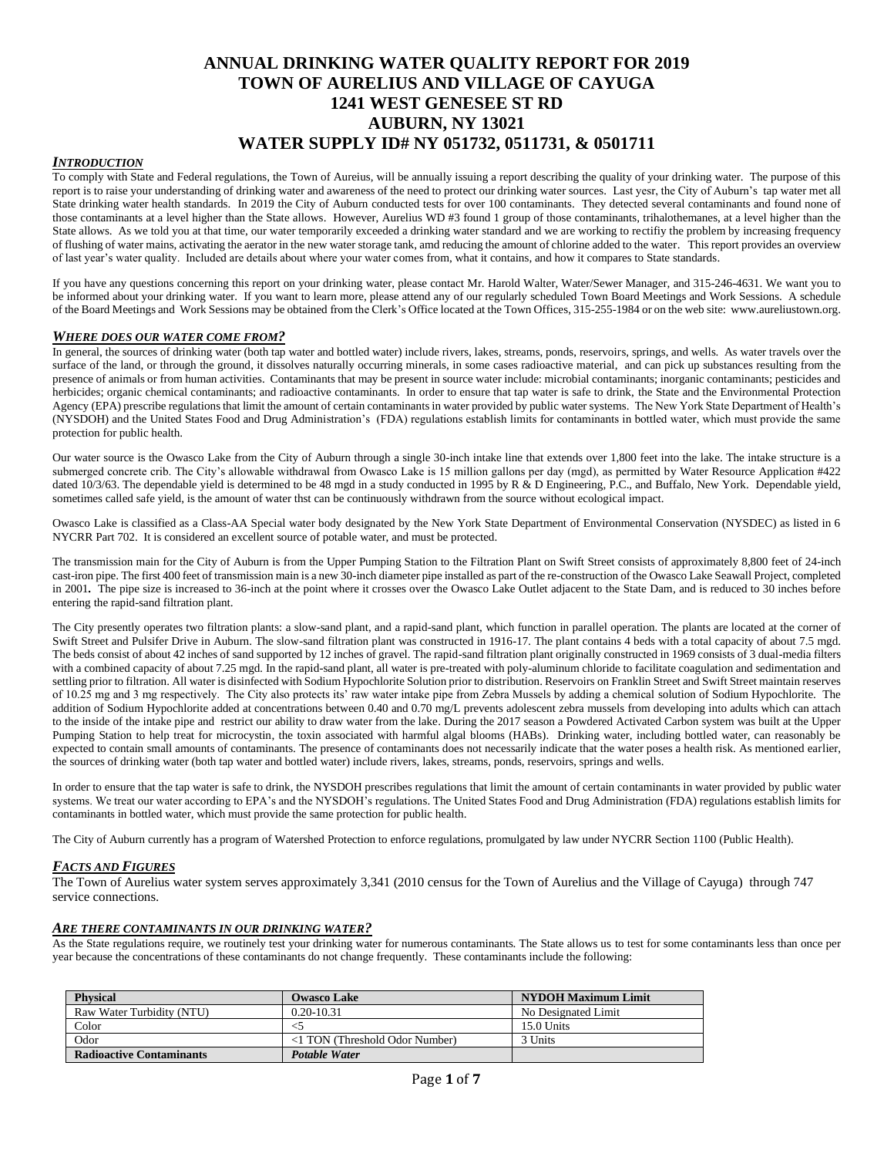# **ANNUAL DRINKING WATER QUALITY REPORT FOR 2019 TOWN OF AURELIUS AND VILLAGE OF CAYUGA 1241 WEST GENESEE ST RD AUBURN, NY 13021 WATER SUPPLY ID# NY 051732, 0511731, & 0501711**

### *INTRODUCTION*

To comply with State and Federal regulations, the Town of Aureius, will be annually issuing a report describing the quality of your drinking water. The purpose of this report is to raise your understanding of drinking water and awareness of the need to protect our drinking water sources. Last yesr, the City of Auburn's tap water met all State drinking water health standards. In 2019 the City of Auburn conducted tests for over 100 contaminants. They detected several contaminants and found none of those contaminants at a level higher than the State allows. However, Aurelius WD #3 found 1 group of those contaminants, trihalothemanes, at a level higher than the State allows. As we told you at that time, our water temporarily exceeded a drinking water standard and we are working to rectifiy the problem by increasing frequency of flushing of water mains, activating the aerator in the new water storage tank, amd reducing the amount of chlorine added to the water. This report provides an overview of last year's water quality. Included are details about where your water comes from, what it contains, and how it compares to State standards.

If you have any questions concerning this report on your drinking water, please contact Mr. Harold Walter, Water/Sewer Manager, and 315-246-4631. We want you to be informed about your drinking water. If you want to learn more, please attend any of our regularly scheduled Town Board Meetings and Work Sessions. A schedule of the Board Meetings and Work Sessions may be obtained from the Clerk's Office located at the Town Offices, 315-255-1984 or on the web site: www.aureliustown.org.

## *WHERE DOES OUR WATER COME FROM?*

In general, the sources of drinking water (both tap water and bottled water) include rivers, lakes, streams, ponds, reservoirs, springs, and wells. As water travels over the surface of the land, or through the ground, it dissolves naturally occurring minerals, in some cases radioactive material, and can pick up substances resulting from the presence of animals or from human activities. Contaminants that may be present in source water include: microbial contaminants; inorganic contaminants; pesticides and herbicides; organic chemical contaminants; and radioactive contaminants. In order to ensure that tap water is safe to drink, the State and the Environmental Protection Agency (EPA) prescribe regulations that limit the amount of certain contaminants in water provided by public water systems. The New York State Department of Health's (NYSDOH) and the United States Food and Drug Administration's (FDA) regulations establish limits for contaminants in bottled water, which must provide the same protection for public health.

Our water source is the Owasco Lake from the City of Auburn through a single 30-inch intake line that extends over 1,800 feet into the lake. The intake structure is a submerged concrete crib. The City's allowable withdrawal from Owasco Lake is 15 million gallons per day (mgd), as permitted by Water Resource Application #422 dated 10/3/63. The dependable yield is determined to be 48 mgd in a study conducted in 1995 by R & D Engineering, P.C., and Buffalo, New York. Dependable yield, sometimes called safe yield, is the amount of water thst can be continuously withdrawn from the source without ecological impact.

Owasco Lake is classified as a Class-AA Special water body designated by the New York State Department of Environmental Conservation (NYSDEC) as listed in 6 NYCRR Part 702. It is considered an excellent source of potable water, and must be protected.

The transmission main for the City of Auburn is from the Upper Pumping Station to the Filtration Plant on Swift Street consists of approximately 8,800 feet of 24-inch cast-iron pipe. The first 400 feet of transmission main is a new 30-inch diameter pipe installed as part of the re-construction of the Owasco Lake Seawall Project, completed in 2001*.* The pipe size is increased to 36-inch at the point where it crosses over the Owasco Lake Outlet adjacent to the State Dam*,* and is reduced to 30 inches before entering the rapid-sand filtration plant.

The City presently operates two filtration plants: a slow-sand plant, and a rapid-sand plant, which function in parallel operation. The plants are located at the corner of Swift Street and Pulsifer Drive in Auburn. The slow-sand filtration plant was constructed in 1916-17*.* The plant contains 4 beds with a total capacity of about 7.5 mgd. The beds consist of about 42 inches of sand supported by 12 inches of gravel. The rapid-sand filtration plant originally constructed in 1969 consists of 3 dual-media filters with a combined capacity of about 7.25 mgd. In the rapid-sand plant, all water is pre-treated with poly-aluminum chloride to facilitate coagulation and sedimentation and settling prior to filtration. All water is disinfected with Sodium Hypochlorite Solution prior to distribution. Reservoirs on Franklin Street and Swift Street maintain reserves of 10.25 mg and 3 mg respectively. The City also protects its' raw water intake pipe from Zebra Mussels by adding a chemical solution of Sodium Hypochlorite. The addition of Sodium Hypochlorite added at concentrations between 0.40 and 0.70 mg/L prevents adolescent zebra mussels from developing into adults which can attach to the inside of the intake pipe and restrict our ability to draw water from the lake. During the 2017 season a Powdered Activated Carbon system was built at the Upper Pumping Station to help treat for microcystin, the toxin associated with harmful algal blooms (HABs). Drinking water, including bottled water, can reasonably be expected to contain small amounts of contaminants. The presence of contaminants does not necessarily indicate that the water poses a health risk. As mentioned earlier, the sources of drinking water (both tap water and bottled water) include rivers, lakes, streams, ponds, reservoirs, springs and wells.

In order to ensure that the tap water is safe to drink, the NYSDOH prescribes regulations that limit the amount of certain contaminants in water provided by public water systems. We treat our water according to EPA's and the NYSDOH's regulations. The United States Food and Drug Administration (FDA) regulations establish limits for contaminants in bottled water, which must provide the same protection for public health.

The City of Auburn currently has a program of Watershed Protection to enforce regulations, promulgated by law under NYCRR Section 1100 (Public Health).

#### *FACTS AND FIGURES*

The Town of Aurelius water system serves approximately 3,341 (2010 census for the Town of Aurelius and the Village of Cayuga) through 747 service connections.

#### *ARE THERE CONTAMINANTS IN OUR DRINKING WATER?*

As the State regulations require, we routinely test your drinking water for numerous contaminants. The State allows us to test for some contaminants less than once per year because the concentrations of these contaminants do not change frequently. These contaminants include the following:

| <b>Physical</b>                 | <b>Owasco Lake</b>                    | <b>NYDOH Maximum Limit</b> |
|---------------------------------|---------------------------------------|----------------------------|
| Raw Water Turbidity (NTU)       | $0.20 - 10.31$                        | No Designated Limit        |
| Color                           |                                       | 15.0 Units                 |
| Odor                            | $\langle$ TON (Threshold Odor Number) | 3 Units                    |
| <b>Radioactive Contaminants</b> | <b>Potable Water</b>                  |                            |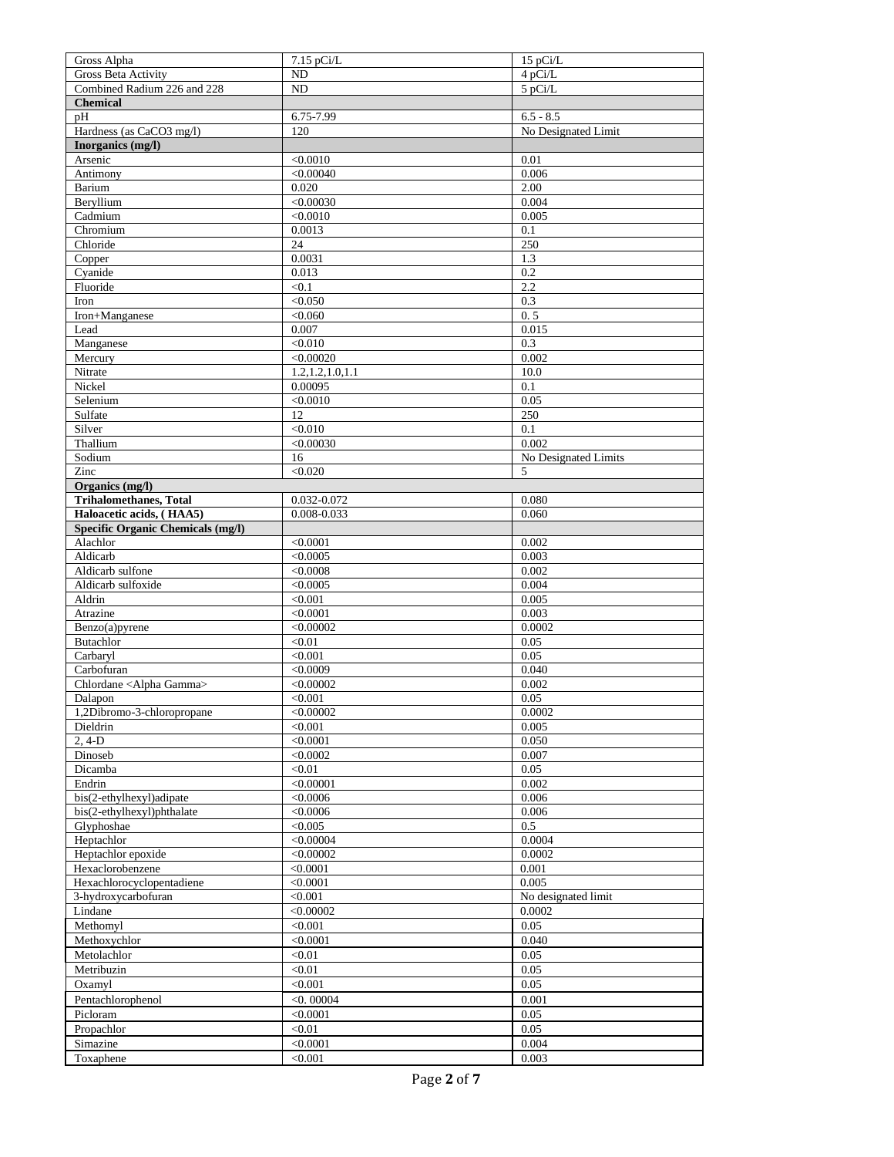| Gross Alpha                                                   | 7.15 pCi/L         | 15 pCi/L             |
|---------------------------------------------------------------|--------------------|----------------------|
| <b>Gross Beta Activity</b>                                    | N <sub>D</sub>     | 4 pCi/L              |
| Combined Radium 226 and 228                                   | ND                 | 5 pCi/L              |
| <b>Chemical</b>                                               |                    |                      |
| pH                                                            | $6.75 - 7.99$      | $6.5 - 8.5$          |
| Hardness (as CaCO3 mg/l)                                      | 120                | No Designated Limit  |
| Inorganics (mg/l)                                             |                    |                      |
| Arsenic                                                       | < 0.0010           | 0.01                 |
| Antimony                                                      | < 0.00040          | 0.006                |
| Barium                                                        | 0.020              | 2.00                 |
| Beryllium                                                     | < 0.00030          | 0.004                |
| Cadmium                                                       | < 0.0010           | 0.005                |
| Chromium                                                      | 0.0013             | 0.1                  |
| Chloride                                                      | 24                 | 250                  |
| Copper                                                        | 0.0031             | 1.3                  |
| Cyanide                                                       | 0.013              | 0.2                  |
| Fluoride                                                      | < 0.1              | 2.2                  |
| Iron                                                          | < 0.050            | 0.3                  |
| Iron+Manganese                                                | < 0.060            | 0.5                  |
| Lead                                                          | 0.007              | 0.015                |
| Manganese                                                     | < 0.010            | 0.3                  |
| Mercury                                                       | < 0.00020          | 0.002                |
| Nitrate                                                       | 1.2, 1.2, 1.0, 1.1 | 10.0                 |
| Nickel                                                        | 0.00095            | 0.1                  |
| Selenium                                                      | < 0.0010           | 0.05                 |
| Sulfate                                                       | 12                 | 250                  |
| Silver                                                        | < 0.010            | 0.1                  |
| Thallium                                                      | < 0.00030          | 0.002                |
| Sodium                                                        | 16                 | No Designated Limits |
| Zinc                                                          | < 0.020            | 5                    |
| Organics (mg/l)                                               |                    |                      |
| <b>Trihalomethanes, Total</b>                                 | 0.032-0.072        | 0.080                |
| Haloacetic acids, (HAA5)<br>Specific Organic Chemicals (mg/l) | 0.008-0.033        | 0.060                |
| Alachlor                                                      | < 0.0001           | 0.002                |
| Aldicarb                                                      | < 0.0005           | 0.003                |
| Aldicarb sulfone                                              | < 0.0008           | 0.002                |
| Aldicarb sulfoxide                                            | < 0.0005           | 0.004                |
| Aldrin                                                        | < 0.001            | 0.005                |
| Atrazine                                                      | < 0.0001           | 0.003                |
| Benzo(a)pyrene                                                | < 0.00002          | 0.0002               |
| Butachlor                                                     | < 0.01             | 0.05                 |
| Carbaryl                                                      | < 0.001            | 0.05                 |
| Carbofuran                                                    | < 0.0009           | 0.040                |
| Chlordane <alpha gamma=""></alpha>                            | < 0.00002          | 0.002                |
| Dalapon                                                       | < 0.001            | 0.05                 |
| 1,2Dibromo-3-chloropropane                                    | < 0.00002          | 0.0002               |
| Dieldrin                                                      | < 0.001            | 0.005                |
| $2, 4-D$                                                      | < 0.0001           | 0.050                |
| Dinoseb                                                       | < 0.0002           | 0.007                |
| Dicamba                                                       | < 0.01             | 0.05                 |
| Endrin                                                        | < 0.00001          | 0.002                |
| bis(2-ethylhexyl)adipate                                      | < 0.0006           | 0.006                |
| bis(2-ethylhexyl)phthalate                                    | < 0.0006           | 0.006                |
| Glyphoshae                                                    | < 0.005            | 0.5                  |
| Heptachlor                                                    | < 0.00004          | 0.0004               |
| Heptachlor epoxide                                            | < 0.00002          | 0.0002               |
| Hexaclorobenzene                                              | < 0.0001           | 0.001                |
| Hexachlorocyclopentadiene                                     | < 0.0001           | 0.005                |
| 3-hydroxycarbofuran                                           | < 0.001            | No designated limit  |
| Lindane                                                       | < 0.00002          | 0.0002               |
| Methomyl                                                      | < 0.001            | 0.05                 |
| Methoxychlor                                                  | < 0.0001           | 0.040                |
| Metolachlor                                                   | < 0.01             | 0.05                 |
| Metribuzin                                                    | < 0.01             | 0.05                 |
| Oxamyl                                                        | < 0.001            | 0.05                 |
| Pentachlorophenol                                             | $<$ 0.00004        | 0.001                |
| Picloram                                                      | < 0.0001           | 0.05                 |
| Propachlor                                                    | < 0.01             | 0.05                 |
| Simazine                                                      | < 0.0001           | 0.004                |
| Toxaphene                                                     | < 0.001            | 0.003                |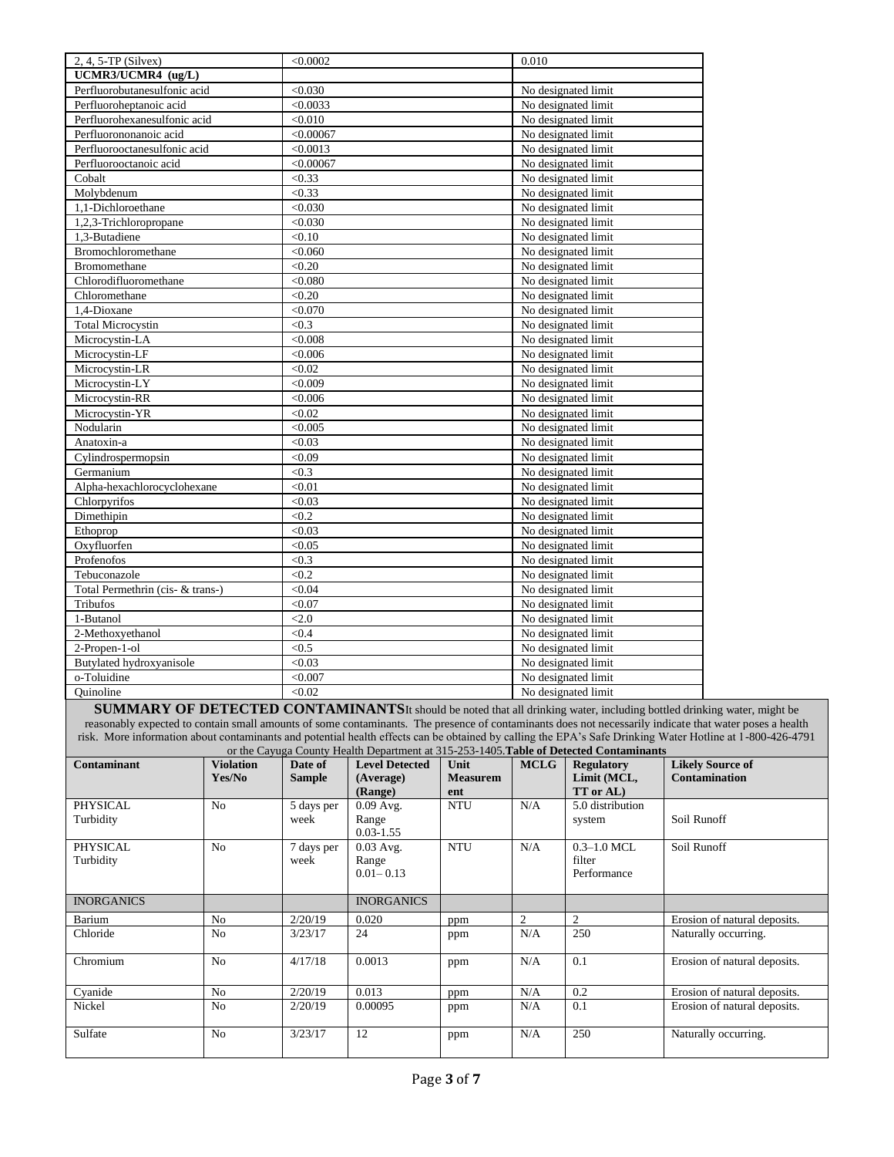| 2, 4, 5-TP (Silvex)              | < 0.0002  | 0.010               |
|----------------------------------|-----------|---------------------|
| UCMR3/UCMR4 (ug/L)               |           |                     |
| Perfluorobutanesulfonic acid     | < 0.030   | No designated limit |
| Perfluoroheptanoic acid          | < 0.0033  | No designated limit |
| Perfluorohexanesulfonic acid     | < 0.010   | No designated limit |
| Perfluorononanoic acid           | < 0.00067 | No designated limit |
| Perfluorooctanesulfonic acid     | < 0.0013  | No designated limit |
| Perfluorooctanoic acid           | < 0.00067 | No designated limit |
| Cobalt                           | < 0.33    | No designated limit |
| Molybdenum                       | < 0.33    | No designated limit |
| 1.1-Dichloroethane               | < 0.030   | No designated limit |
| 1,2,3-Trichloropropane           | < 0.030   | No designated limit |
| 1,3-Butadiene                    | < 0.10    | No designated limit |
| Bromochloromethane               | < 0.060   | No designated limit |
| <b>Bromomethane</b>              | < 0.20    | No designated limit |
| Chlorodifluoromethane            | < 0.080   | No designated limit |
| Chloromethane                    | < 0.20    | No designated limit |
| 1.4-Dioxane                      | < 0.070   | No designated limit |
| <b>Total Microcystin</b>         | < 0.3     | No designated limit |
| Microcystin-LA                   | < 0.008   | No designated limit |
| Microcystin-LF                   | < 0.006   | No designated limit |
| Microcystin-LR                   | < 0.02    | No designated limit |
| Microcystin-LY                   | < 0.009   | No designated limit |
| Microcystin-RR                   | < 0.006   | No designated limit |
| Microcystin-YR                   | < 0.02    | No designated limit |
| Nodularin                        | < 0.005   | No designated limit |
| Anatoxin-a                       | < 0.03    | No designated limit |
| Cylindrospermopsin               | < 0.09    | No designated limit |
| Germanium                        | < 0.3     | No designated limit |
| Alpha-hexachlorocyclohexane      | < 0.01    | No designated limit |
| Chlorpyrifos                     | < 0.03    | No designated limit |
| Dimethipin                       | < 0.2     | No designated limit |
| Ethoprop                         | < 0.03    | No designated limit |
| Oxyfluorfen                      | < 0.05    | No designated limit |
| Profenofos                       | < 0.3     | No designated limit |
| Tebuconazole                     | < 0.2     | No designated limit |
| Total Permethrin (cis- & trans-) | < 0.04    | No designated limit |
| Tribufos                         | < 0.07    | No designated limit |
| 1-Butanol                        | < 2.0     | No designated limit |
| 2-Methoxyethanol                 | < 0.4     | No designated limit |
| 2-Propen-1-ol                    | < 0.5     | No designated limit |
| Butylated hydroxyanisole         | < 0.03    | No designated limit |
| o-Toluidine                      | < 0.007   | No designated limit |
| Ouinoline                        | < 0.02    | No designated limit |

**SUMMARY OF DETECTED CONTAMINANTS**It should be noted that all drinking water, including bottled drinking water, might be reasonably expected to contain small amounts of some contaminants. The presence of contaminants does not necessarily indicate that water poses a health risk. More information about contaminants and potential health effects can be obtained by calling the EPA's Safe Drinking Water Hotline at 1-800-426-4791

| or the Cayuga County Health Department at 315-253-1405. Table of Detected Contaminants |                  |               |                       |                 |             |                   |                              |
|----------------------------------------------------------------------------------------|------------------|---------------|-----------------------|-----------------|-------------|-------------------|------------------------------|
| <b>Contaminant</b>                                                                     | <b>Violation</b> | Date of       | <b>Level Detected</b> | Unit            | <b>MCLG</b> | <b>Regulatory</b> | <b>Likely Source of</b>      |
|                                                                                        | Yes/No           | <b>Sample</b> | (Average)             | <b>Measurem</b> |             | Limit (MCL,       | <b>Contamination</b>         |
|                                                                                        |                  |               | (Range)               | ent             |             | TT or AL)         |                              |
| <b>PHYSICAL</b>                                                                        | N <sub>o</sub>   | 5 days per    | $0.09$ Avg.           | <b>NTU</b>      | N/A         | 5.0 distribution  |                              |
| Turbidity                                                                              |                  | week          | Range                 |                 |             | system            | Soil Runoff                  |
|                                                                                        |                  |               | $0.03 - 1.55$         |                 |             |                   |                              |
| <b>PHYSICAL</b>                                                                        | N <sub>o</sub>   | 7 days per    | $0.03$ Avg.           | <b>NTU</b>      | N/A         | $0.3 - 1.0$ MCL   | Soil Runoff                  |
| Turbidity                                                                              |                  | week          | Range                 |                 |             | filter            |                              |
|                                                                                        |                  |               | $0.01 - 0.13$         |                 |             | Performance       |                              |
|                                                                                        |                  |               |                       |                 |             |                   |                              |
| <b>INORGANICS</b>                                                                      |                  |               | <b>INORGANICS</b>     |                 |             |                   |                              |
| Barium                                                                                 | N <sub>o</sub>   | 2/20/19       | 0.020                 | ppm             | 2           | 2                 | Erosion of natural deposits. |
| Chloride                                                                               | No               | 3/23/17       | 24                    | ppm             | N/A         | 250               | Naturally occurring.         |
|                                                                                        |                  |               |                       |                 |             |                   |                              |
| Chromium                                                                               | N <sub>o</sub>   | 4/17/18       | 0.0013                | ppm             | N/A         | 0.1               | Erosion of natural deposits. |
|                                                                                        |                  |               |                       |                 |             |                   |                              |
| Cyanide                                                                                | N <sub>o</sub>   | 2/20/19       | 0.013                 | ppm             | N/A         | 0.2               | Erosion of natural deposits. |
| Nickel                                                                                 | N <sub>o</sub>   | 2/20/19       | 0.00095               | ppm             | N/A         | 0.1               | Erosion of natural deposits. |
|                                                                                        |                  |               |                       |                 |             |                   |                              |
| Sulfate                                                                                | N <sub>o</sub>   | 3/23/17       | 12                    | ppm             | N/A         | 250               | Naturally occurring.         |
|                                                                                        |                  |               |                       |                 |             |                   |                              |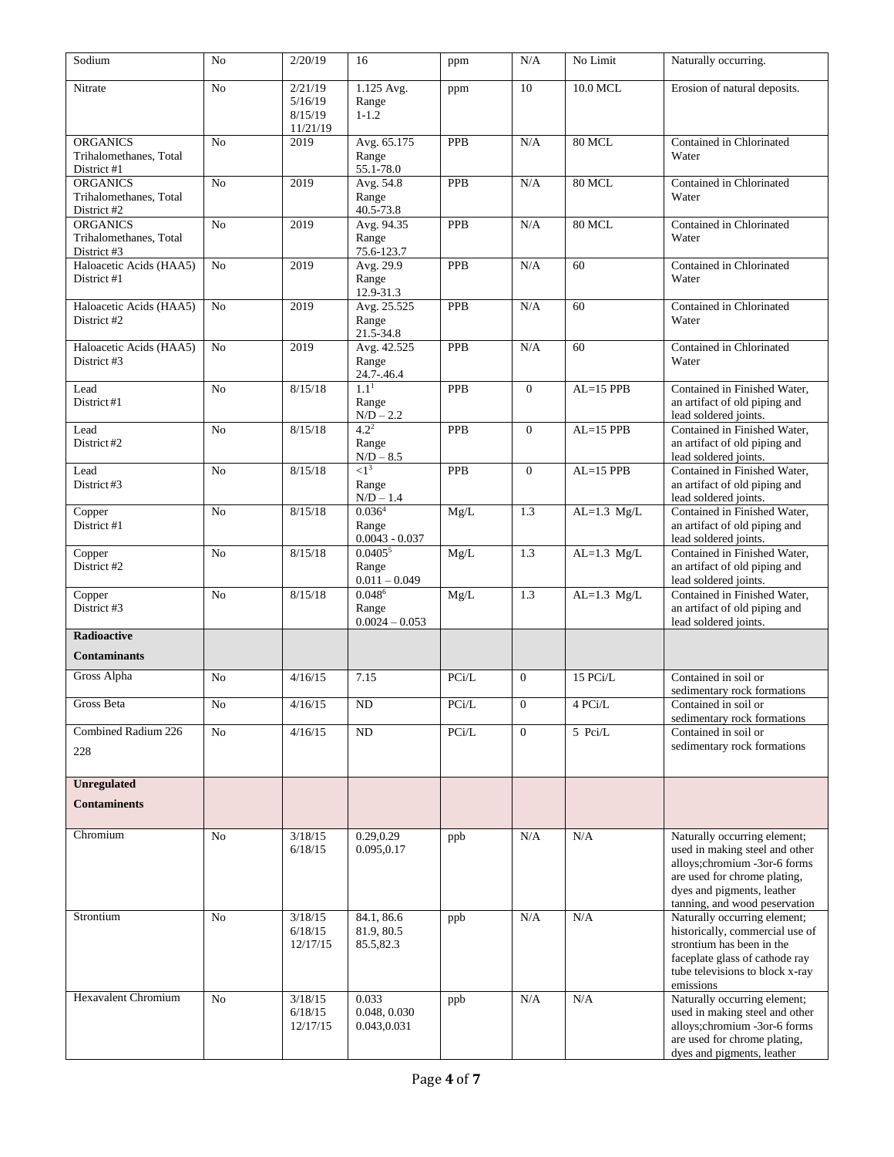| Sodium                                                   | N <sub>0</sub> | 2/20/19                                   | 16                                              | ppm                           | N/A              | No Limit      | Naturally occurring.                                                                                                                                                                           |
|----------------------------------------------------------|----------------|-------------------------------------------|-------------------------------------------------|-------------------------------|------------------|---------------|------------------------------------------------------------------------------------------------------------------------------------------------------------------------------------------------|
| Nitrate                                                  | No             | 2/21/19<br>5/16/19<br>8/15/19<br>11/21/19 | 1.125 Avg.<br>Range<br>$1 - 1.2$                | ppm                           | 10               | 10.0 MCL      | Erosion of natural deposits.                                                                                                                                                                   |
| <b>ORGANICS</b><br>Trihalomethanes, Total<br>District #1 | N <sub>0</sub> | 2019                                      | Avg. 65.175<br>Range<br>55.1-78.0               | <b>PPB</b>                    | N/A              | 80 MCL        | Contained in Chlorinated<br>Water                                                                                                                                                              |
| <b>ORGANICS</b><br>Trihalomethanes, Total<br>District #2 | N <sub>o</sub> | 2019                                      | Avg. 54.8<br>Range<br>40.5-73.8                 | <b>PPB</b>                    | N/A              | 80 MCL        | Contained in Chlorinated<br>Water                                                                                                                                                              |
| <b>ORGANICS</b><br>Trihalomethanes, Total<br>District #3 | N <sub>o</sub> | 2019                                      | Avg. 94.35<br>Range<br>75.6-123.7               | <b>PPB</b>                    | N/A              | 80 MCL        | Contained in Chlorinated<br>Water                                                                                                                                                              |
| Haloacetic Acids (HAA5)<br>District #1                   | No             | 2019                                      | Avg. 29.9<br>Range<br>12.9-31.3                 | <b>PPB</b>                    | N/A              | 60            | Contained in Chlorinated<br>Water                                                                                                                                                              |
| Haloacetic Acids (HAA5)<br>District #2                   | N <sub>0</sub> | 2019                                      | Avg. 25.525<br>Range<br>21.5-34.8               | <b>PPB</b>                    | N/A              | 60            | Contained in Chlorinated<br>Water                                                                                                                                                              |
| Haloacetic Acids (HAA5)<br>District #3                   | N <sub>0</sub> | 2019                                      | Avg. 42.525<br>Range<br>24.7-.46.4              | <b>PPB</b>                    | N/A              | 60            | Contained in Chlorinated<br>Water                                                                                                                                                              |
| Lead<br>District#1                                       | N <sub>0</sub> | 8/15/18                                   | $1.1^{1}$<br>Range<br>$N/D - 2.2$               | <b>PPB</b>                    | $\overline{0}$   | $AL=15$ PPB   | Contained in Finished Water.<br>an artifact of old piping and<br>lead soldered joints.                                                                                                         |
| Lead<br>District#2                                       | N <sub>0</sub> | 8/15/18                                   | $4.2^2$<br>Range<br>$N/D - 8.5$                 | <b>PPB</b>                    | $\Omega$         | $AL=15$ PPB   | Contained in Finished Water,<br>an artifact of old piping and<br>lead soldered joints.                                                                                                         |
| Lead<br>District#3                                       | N <sub>0</sub> | 8/15/18                                   | $\langle 1^3$<br>Range<br>$N/D - 1.4$           | PPB                           | $\mathbf{0}$     | $AL=15$ PPB   | Contained in Finished Water,<br>an artifact of old piping and<br>lead soldered joints.                                                                                                         |
| Copper<br>District #1                                    | No             | 8/15/18                                   | 0.036 <sup>4</sup><br>Range<br>$0.0043 - 0.037$ | Mg/L                          | 1.3              | $AL=1.3$ Mg/L | Contained in Finished Water,<br>an artifact of old piping and<br>lead soldered joints.                                                                                                         |
| Copper<br>District #2                                    | N <sub>0</sub> | 8/15/18                                   | 0.0405 <sup>5</sup><br>Range<br>$0.011 - 0.049$ | Mg/L                          | 1.3              | $AL=1.3$ Mg/L | Contained in Finished Water,<br>an artifact of old piping and<br>lead soldered joints.                                                                                                         |
| Copper<br>District #3                                    | N <sub>o</sub> | 8/15/18                                   | $0.048^6$<br>Range<br>$0.0024 - 0.053$          | Mg/L                          | 1.3              | $AL=1.3$ Mg/L | Contained in Finished Water,<br>an artifact of old piping and<br>lead soldered joints.                                                                                                         |
| <b>Radioactive</b>                                       |                |                                           |                                                 |                               |                  |               |                                                                                                                                                                                                |
| <b>Contaminants</b><br>Gross Alpha                       | No             | 4/16/15                                   | 7.15                                            | PCi/L                         | $\overline{0}$   | 15 PCi/L      | Contained in soil or                                                                                                                                                                           |
| <b>Gross Beta</b>                                        |                |                                           | <b>ND</b>                                       | $\ensuremath{\mathsf{PCi/L}}$ | $\boldsymbol{0}$ | 4 PCi/L       | sedimentary rock formations<br>Contained in soil or                                                                                                                                            |
|                                                          | No             | 4/16/15                                   |                                                 |                               |                  |               | sedimentary rock formations                                                                                                                                                                    |
| Combined Radium 226<br>228                               | No             | 4/16/15                                   | ND                                              | PCi/L                         | $\overline{0}$   | 5 Pci/L       | Contained in soil or<br>sedimentary rock formations                                                                                                                                            |
| <b>Unregulated</b>                                       |                |                                           |                                                 |                               |                  |               |                                                                                                                                                                                                |
| <b>Contaminents</b>                                      |                |                                           |                                                 |                               |                  |               |                                                                                                                                                                                                |
| Chromium                                                 | No             | 3/18/15<br>6/18/15                        | 0.29,0.29<br>0.095,0.17                         | ppb                           | N/A              | N/A           | Naturally occurring element;<br>used in making steel and other<br>alloys; chromium -3or-6 forms<br>are used for chrome plating,<br>dyes and pigments, leather<br>tanning, and wood peservation |
| Strontium                                                | No             | 3/18/15<br>6/18/15<br>12/17/15            | 84.1, 86.6<br>81.9, 80.5<br>85.5,82.3           | ppb                           | N/A              | N/A           | Naturally occurring element;<br>historically, commercial use of<br>strontium has been in the<br>faceplate glass of cathode ray<br>tube televisions to block x-ray<br>emissions                 |
| <b>Hexavalent Chromium</b>                               | N <sub>o</sub> | 3/18/15<br>6/18/15<br>12/17/15            | 0.033<br>0.048, 0.030<br>0.043,0.031            | ppb                           | N/A              | N/A           | Naturally occurring element;<br>used in making steel and other<br>alloys; chromium -3or-6 forms<br>are used for chrome plating,<br>dyes and pigments, leather                                  |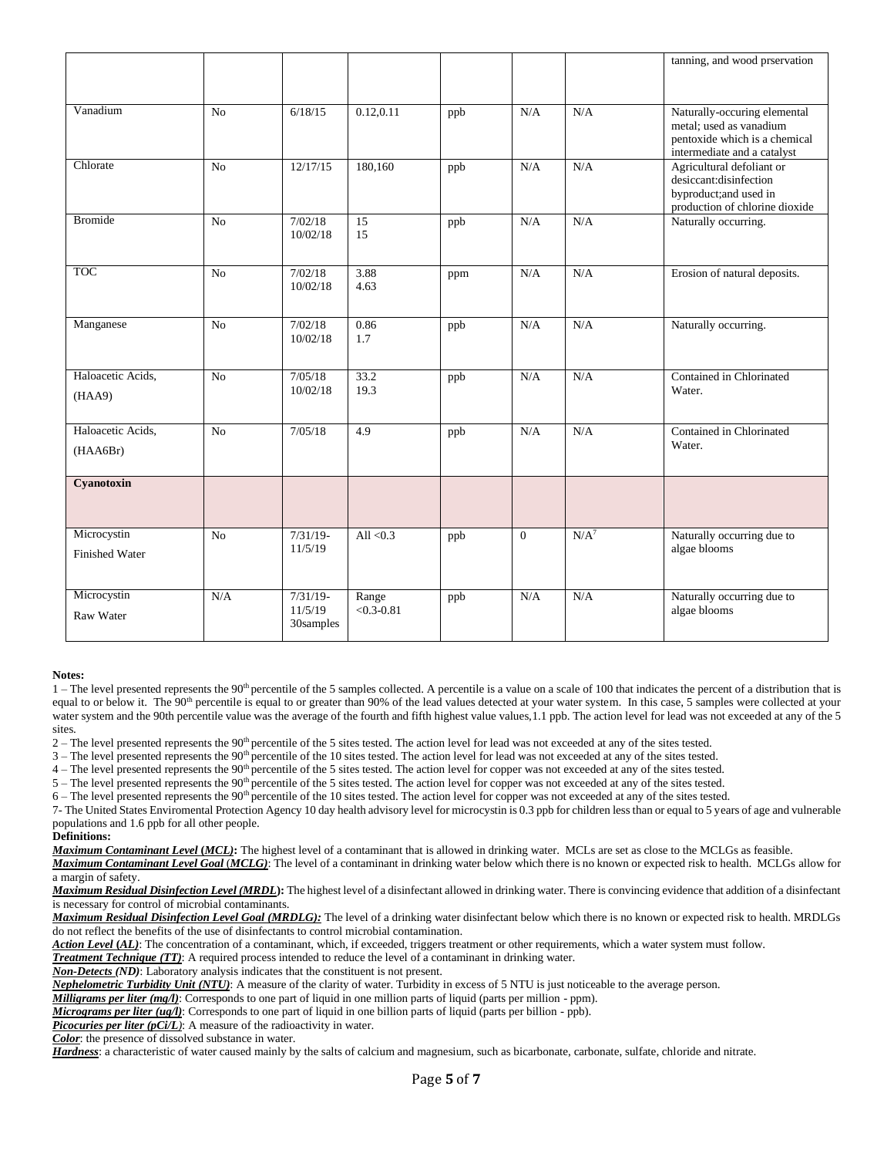|                       |                |                       |                         |     |          |         | tanning, and wood prservation                           |
|-----------------------|----------------|-----------------------|-------------------------|-----|----------|---------|---------------------------------------------------------|
|                       |                |                       |                         |     |          |         |                                                         |
|                       |                |                       |                         |     |          |         |                                                         |
| Vanadium              | No             | 6/18/15               | 0.12, 0.11              | ppb | N/A      | N/A     | Naturally-occuring elemental<br>metal; used as vanadium |
|                       |                |                       |                         |     |          |         | pentoxide which is a chemical                           |
|                       |                |                       |                         |     |          |         | intermediate and a catalyst                             |
| Chlorate              | No             | 12/17/15              | 180,160                 | ppb | N/A      | N/A     | Agricultural defoliant or<br>desiccant:disinfection     |
|                       |                |                       |                         |     |          |         | byproduct;and used in                                   |
|                       |                |                       |                         |     |          |         | production of chlorine dioxide                          |
| <b>Bromide</b>        | No             | 7/02/18<br>10/02/18   | 15<br>15                | ppb | N/A      | N/A     | Naturally occurring.                                    |
|                       |                |                       |                         |     |          |         |                                                         |
| <b>TOC</b>            | No             | 7/02/18               | 3.88                    |     | N/A      | N/A     | Erosion of natural deposits.                            |
|                       |                | 10/02/18              | 4.63                    | ppm |          |         |                                                         |
|                       |                |                       |                         |     |          |         |                                                         |
| Manganese             | No             | 7/02/18               | 0.86                    | ppb | N/A      | N/A     | Naturally occurring.                                    |
|                       |                | 10/02/18              | 1.7                     |     |          |         |                                                         |
|                       |                |                       |                         |     |          |         |                                                         |
| Haloacetic Acids,     | No             | 7/05/18               | 33.2                    | ppb | N/A      | N/A     | Contained in Chlorinated                                |
| (HAA9)                |                | 10/02/18              | 19.3                    |     |          |         | Water.                                                  |
|                       |                |                       |                         |     |          |         |                                                         |
| Haloacetic Acids,     | No             | 7/05/18               | 4.9                     | ppb | N/A      | N/A     | Contained in Chlorinated                                |
| (HAA6Br)              |                |                       |                         |     |          |         | Water.                                                  |
|                       |                |                       |                         |     |          |         |                                                         |
| Cyanotoxin            |                |                       |                         |     |          |         |                                                         |
|                       |                |                       |                         |     |          |         |                                                         |
| Microcystin           | N <sub>o</sub> | $7/31/19-$            | All $< 0.3$             | ppb | $\Omega$ | $N/A^7$ | Naturally occurring due to                              |
| <b>Finished Water</b> |                | 11/5/19               |                         |     |          |         | algae blooms                                            |
|                       |                |                       |                         |     |          |         |                                                         |
|                       |                |                       |                         |     |          |         |                                                         |
| Microcystin           | N/A            | $7/31/19-$<br>11/5/19 | Range<br>$< 0.3 - 0.81$ | ppb | N/A      | N/A     | Naturally occurring due to<br>algae blooms              |
| <b>Raw Water</b>      |                | 30samples             |                         |     |          |         |                                                         |
|                       |                |                       |                         |     |          |         |                                                         |

#### **Notes:**

 $1$  – The level presented represents the 90<sup>th</sup> percentile of the 5 samples collected. A percentile is a value on a scale of 100 that indicates the percent of a distribution that is equal to or below it. The 90<sup>th</sup> percentile is equal to or greater than 90% of the lead values detected at your water system. In this case, 5 samples were collected at your water system and the 90th percentile value was the average of the fourth and fifth highest value values,1.1 ppb. The action level for lead was not exceeded at any of the 5 sites.

2 – The level presented represents the 90<sup>th</sup> percentile of the 5 sites tested. The action level for lead was not exceeded at any of the sites tested.

 $3$  – The level presented represents the  $90<sup>th</sup>$  percentile of the 10 sites tested. The action level for lead was not exceeded at any of the sites tested.

 $4$  – The level presented represents the  $90<sup>th</sup>$  percentile of the 5 sites tested. The action level for copper was not exceeded at any of the sites tested.

 $5$  – The level presented represents the 90<sup>th</sup> percentile of the 5 sites tested. The action level for copper was not exceeded at any of the sites tested.

 $6 -$  The level presented represents the 90<sup>th</sup> percentile of the 10 sites tested. The action level for copper was not exceeded at any of the sites tested.

7- The United States Enviromental Protection Agency 10 day health advisory level for microcystin is 0.3 ppb for children less than or equal to 5 years of age and vulnerable populations and 1.6 ppb for all other people.

#### **Definitions:**

*Maximum Contaminant Level* **(***MCL)***:** The highest level of a contaminant that is allowed in drinking water. MCLs are set as close to the MCLGs as feasible. *Maximum Contaminant Level Goal* (*MCLG)*: The level of a contaminant in drinking water below which there is no known or expected risk to health. MCLGs allow for

a margin of safety.

*Maximum Residual Disinfection Level (MRDL***):** The highest level of a disinfectant allowed in drinking water. There is convincing evidence that addition of a disinfectant is necessary for control of microbial contaminants.

*Maximum Residual Disinfection Level Goal (MRDLG):* The level of a drinking water disinfectant below which there is no known or expected risk to health. MRDLGs do not reflect the benefits of the use of disinfectants to control microbial contamination.

*Action Level* **(***AL)*: The concentration of a contaminant, which, if exceeded, triggers treatment or other requirements, which a water system must follow.

*Treatment Technique (TT)*: A required process intended to reduce the level of a contaminant in drinking water. *Non-Detects (ND)*: Laboratory analysis indicates that the constituent is not present.

*Nephelometric Turbidity Unit (NTU)*: A measure of the clarity of water. Turbidity in excess of 5 NTU is just noticeable to the average person.

*Milligrams per liter (mg/l)*: Corresponds to one part of liquid in one million parts of liquid (parts per million - ppm).

*Micrograms per liter (ug/l)*: Corresponds to one part of liquid in one billion parts of liquid (parts per billion - ppb).

*Picocuries per liter (pCi/L)*: A measure of the radioactivity in water.

*Color*: the presence of dissolved substance in water.

*Hardness*: a characteristic of water caused mainly by the salts of calcium and magnesium, such as bicarbonate, carbonate, sulfate, chloride and nitrate.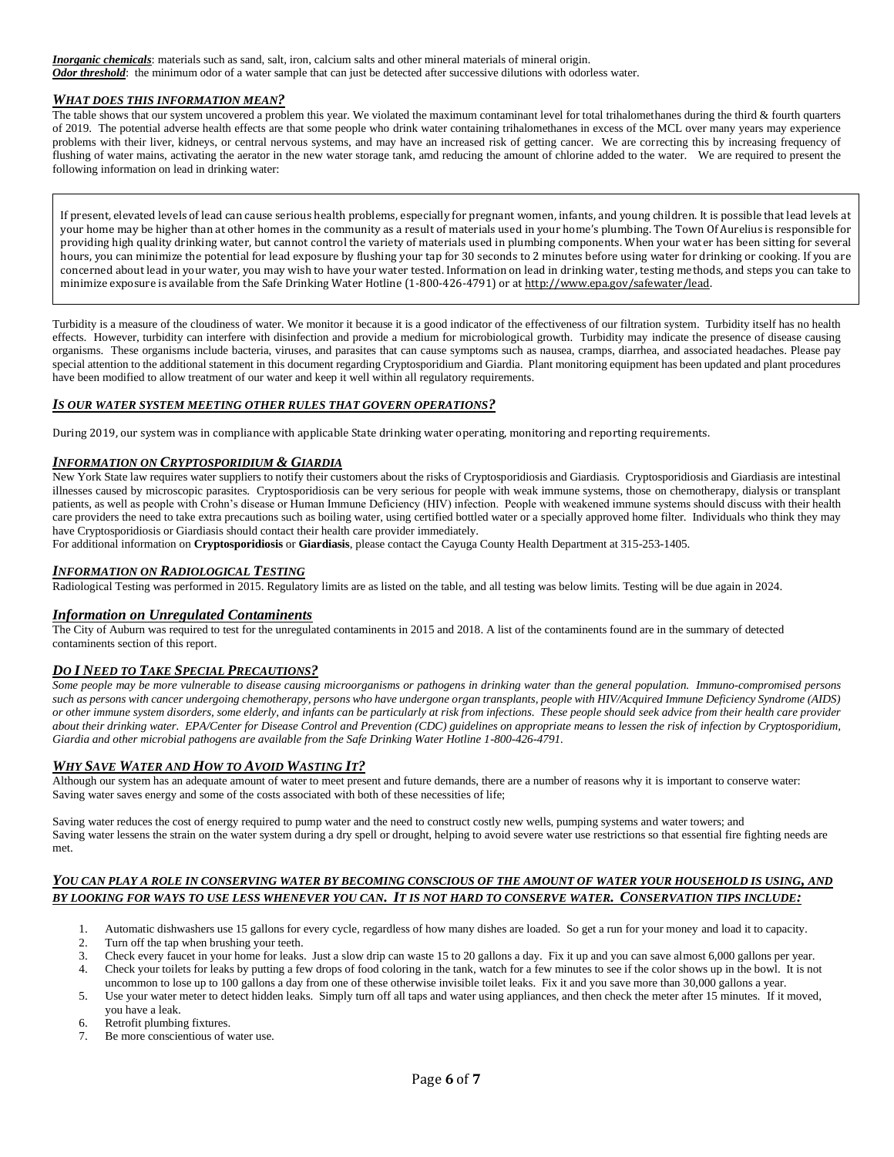*Inorganic chemicals*: materials such as sand, salt, iron, calcium salts and other mineral materials of mineral origin. *Odor threshold*:the minimum odor of a water sample that can just be detected after successive dilutions with odorless water.

### *WHAT DOES THIS INFORMATION MEAN?*

The table shows that our system uncovered a problem this year. We violated the maximum contaminant level for total trihalomethanes during the third & fourth quarters of 2019. The potential adverse health effects are that some people who drink water containing trihalomethanes in excess of the MCL over many years may experience problems with their liver, kidneys, or central nervous systems, and may have an increased risk of getting cancer. We are correcting this by increasing frequency of flushing of water mains, activating the aerator in the new water storage tank, amd reducing the amount of chlorine added to the water. We are required to present the following information on lead in drinking water:

If present, elevated levels of lead can cause serious health problems, especially for pregnant women, infants, and young children. It is possible that lead levels at your home may be higher than at other homes in the community as a result of materials used in your home's plumbing. The Town Of Aurelius is responsible for providing high quality drinking water, but cannot control the variety of materials used in plumbing components. When your water has been sitting for several hours, you can minimize the potential for lead exposure by flushing your tap for 30 seconds to 2 minutes before using water for drinking or cooking. If you are concerned about lead in your water, you may wish to have your water tested. Information on lead in drinking water, testing methods, and steps you can take to minimize exposure is available from the Safe Drinking Water Hotline (1-800-426-4791) or at http://www.epa.gov/safewater/lead.

Turbidity is a measure of the cloudiness of water. We monitor it because it is a good indicator of the effectiveness of our filtration system. Turbidity itself has no health effects. However, turbidity can interfere with disinfection and provide a medium for microbiological growth. Turbidity may indicate the presence of disease causing organisms. These organisms include bacteria, viruses, and parasites that can cause symptoms such as nausea, cramps, diarrhea, and associated headaches. Please pay special attention to the additional statement in this document regarding Cryptosporidium and Giardia. Plant monitoring equipment has been updated and plant procedures have been modified to allow treatment of our water and keep it well within all regulatory requirements.

### *IS OUR WATER SYSTEM MEETING OTHER RULES THAT GOVERN OPERATIONS?*

During 2019, our system was in compliance with applicable State drinking water operating, monitoring and reporting requirements.

### *INFORMATION ON CRYPTOSPORIDIUM & GIARDIA*

New York State law requires water suppliers to notify their customers about the risks of Cryptosporidiosis and Giardiasis. Cryptosporidiosis and Giardiasis are intestinal illnesses caused by microscopic parasites. Cryptosporidiosis can be very serious for people with weak immune systems, those on chemotherapy, dialysis or transplant patients, as well as people with Crohn's disease or Human Immune Deficiency (HIV) infection. People with weakened immune systems should discuss with their health care providers the need to take extra precautions such as boiling water, using certified bottled water or a specially approved home filter. Individuals who think they may have Cryptosporidiosis or Giardiasis should contact their health care provider immediately.

For additional information on **Cryptosporidiosis** or **Giardiasis**, please contact the Cayuga County Health Department at 315-253-1405.

### *INFORMATION ON RADIOLOGICAL TESTING*

Radiological Testing was performed in 2015. Regulatory limits are as listed on the table, and all testing was below limits. Testing will be due again in 2024.

#### *Information on Unregulated Contaminents*

The City of Auburn was required to test for the unregulated contaminents in 2015 and 2018. A list of the contaminents found are in the summary of detected contaminents section of this report.

#### *DO I NEED TO TAKE SPECIAL PRECAUTIONS?*

*Some people may be more vulnerable to disease causing microorganisms or pathogens in drinking water than the general population. Immuno-compromised persons*  such as persons with cancer undergoing chemotherapy, persons who have undergone organ transplants, people with HIV/Acquired Immune Deficiency Syndrome (AIDS) *or other immune system disorders, some elderly, and infants can be particularly at risk from infections. These people should seek advice from their health care provider about their drinking water. EPA/Center for Disease Control and Prevention (CDC) guidelines on appropriate means to lessen the risk of infection by Cryptosporidium, Giardia and other microbial pathogens are available from the Safe Drinking Water Hotline 1-800-426-4791.* 

# *WHY SAVE WATER AND HOW TO AVOID WASTING IT?*

Although our system has an adequate amount of water to meet present and future demands, there are a number of reasons why it is important to conserve water: Saving water saves energy and some of the costs associated with both of these necessities of life;

Saving water reduces the cost of energy required to pump water and the need to construct costly new wells, pumping systems and water towers; and Saving water lessens the strain on the water system during a dry spell or drought, helping to avoid severe water use restrictions so that essential fire fighting needs are met.

#### *YOU CAN PLAY A ROLE IN CONSERVING WATER BY BECOMING CONSCIOUS OF THE AMOUNT OF WATER YOUR HOUSEHOLD IS USING, AND BY LOOKING FOR WAYS TO USE LESS WHENEVER YOU CAN. IT IS NOT HARD TO CONSERVE WATER. CONSERVATION TIPS INCLUDE:*

- 1. Automatic dishwashers use 15 gallons for every cycle, regardless of how many dishes are loaded. So get a run for your money and load it to capacity.
- 2. Turn off the tap when brushing your teeth.
- 3. Check every faucet in your home for leaks. Just a slow drip can waste 15 to 20 gallons a day. Fix it up and you can save almost 6,000 gallons per year. 4. Check your toilets for leaks by putting a few drops of food coloring in the tank, watch for a few minutes to see if the color shows up in the bowl. It is not
- uncommon to lose up to 100 gallons a day from one of these otherwise invisible toilet leaks. Fix it and you save more than 30,000 gallons a year. 5. Use your water meter to detect hidden leaks. Simply turn off all taps and water using appliances, and then check the meter after 15 minutes. If it moved,
- you have a leak. 6. Retrofit plumbing fixtures.
- 7. Be more conscientious of water use.